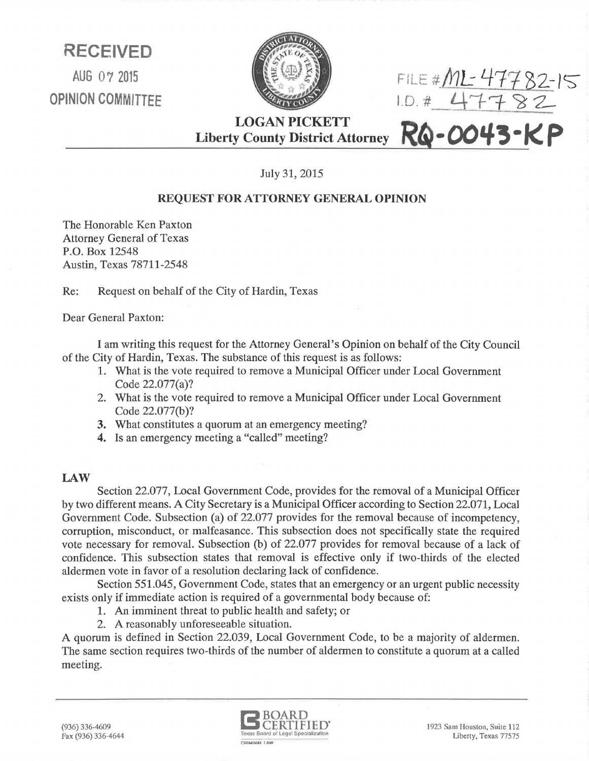**RECEIVED**  AUG 07 2015 OPINION COMMITTEE



FiLE *#/J11.:* 4113-Z-IS LD. ~'1- 'f *'6* 2-

LOGAN PICKETT Liberty County District Attorney RQ-0043-KP

July 31, 2015

## REQUEST FOR ATTORNEY GENERAL OPINION

The Honorable Ken Paxton Attorney General of Texas P.O. Box 12548 Austin, Texas 78711-2548

Re: Request on behalf of the City of Hardin, Texas

Dear General Paxton:

I am writing this request for the Attorney General's Opinion on behalf of the City Council of the City of Hardin, Texas. The substance of this request is as follows:

- 1. What is the vote required to remove a Municipal Officer under Local Government Code 22.077(a)?
- 2. What is the vote required to remove a Municipal Officer under Local Government Code 22.077(b)?
- 3. What constitutes a quorum at an emergency meeting?
- 4. Is an emergency meeting a "called" meeting?

## LAW

Section 22.077, Local Government Code, provides for the removal of a Municipal Officer by two different means. A City Secretary is a Municipal Officer according to Section 22.071, Local Government Code. Subsection (a) of 22.077 provides for the removal because of incompetency, corruption, misconduct, or malfeasance. This subsection does not specifically state the required vote necessary for removal. Subsection (b) of 22.077 provides for removal because of a lack of confidence. This subsection states that removal is effective only if two-thirds of the elected aldermen vote in favor of a resolution declaring lack of confidence.

Section 551.045, Government Code, states that an emergency or an urgent public necessity exists only if immediate action is required of a governmental body because of:

- 1. An imminent threat to public health and safety; or
- 2. A reasonably unforeseeable situation.

A quorum is defined in Section 22.039, Local Government Code, to be a majority of aldermen. The same section requires two-thirds of the number of aldermen to constitute a quorum at a called meeting.